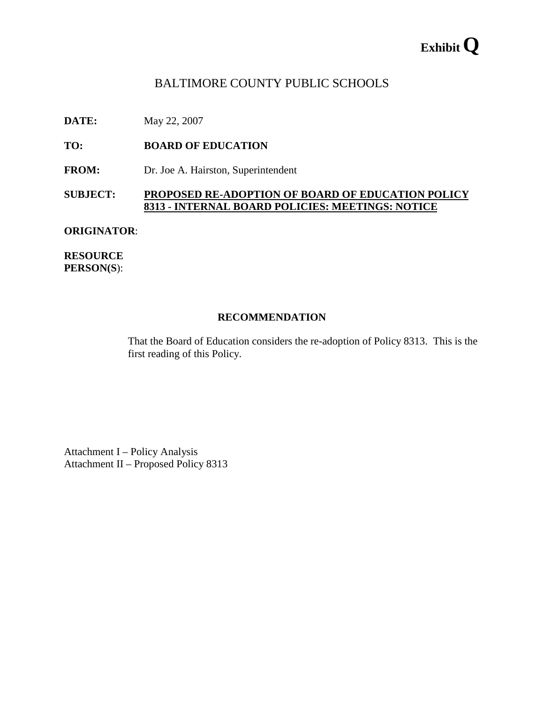# **Exhibit Q**

# BALTIMORE COUNTY PUBLIC SCHOOLS

**DATE:** May 22, 2007

**TO: BOARD OF EDUCATION** 

**FROM:** Dr. Joe A. Hairston, Superintendent

#### **SUBJECT: PROPOSED RE-ADOPTION OF BOARD OF EDUCATION POLICY 8313 - INTERNAL BOARD POLICIES: MEETINGS: NOTICE**

#### **ORIGINATOR**:

**RESOURCE PERSON(S**):

#### **RECOMMENDATION**

That the Board of Education considers the re-adoption of Policy 8313. This is the first reading of this Policy.

Attachment I – Policy Analysis Attachment II – Proposed Policy 8313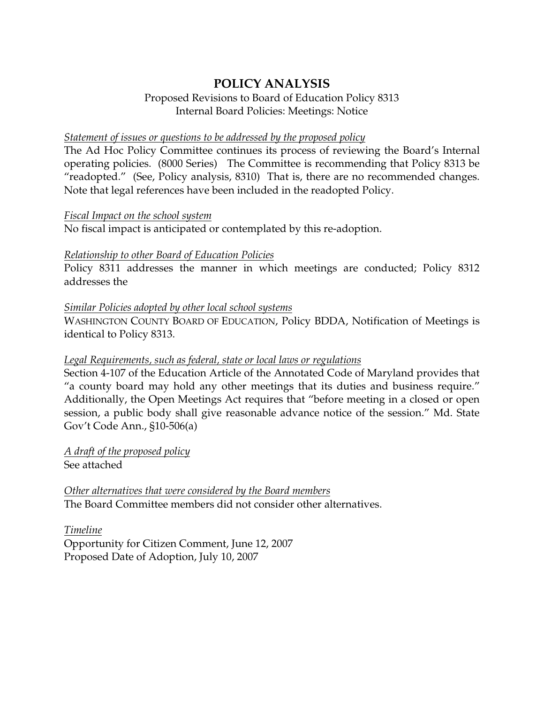# **POLICY ANALYSIS**

# Proposed Revisions to Board of Education Policy 8313 Internal Board Policies: Meetings: Notice

#### *Statement of issues or questions to be addressed by the proposed policy*

The Ad Hoc Policy Committee continues its process of reviewing the Board's Internal operating policies. (8000 Series) The Committee is recommending that Policy 8313 be "readopted." (See, Policy analysis, 8310) That is, there are no recommended changes. Note that legal references have been included in the readopted Policy.

#### *Fiscal Impact on the school system*

No fiscal impact is anticipated or contemplated by this re-adoption.

# *Relationship to other Board of Education Policies*

Policy 8311 addresses the manner in which meetings are conducted; Policy 8312 addresses the

# *Similar Policies adopted by other local school systems*

WASHINGTON COUNTY BOARD OF EDUCATION, Policy BDDA, Notification of Meetings is identical to Policy 8313.

# *Legal Requirements, such as federal, state or local laws or regulations*

Section 4-107 of the Education Article of the Annotated Code of Maryland provides that "a county board may hold any other meetings that its duties and business require." Additionally, the Open Meetings Act requires that "before meeting in a closed or open session, a public body shall give reasonable advance notice of the session." Md. State Gov't Code Ann., §10-506(a)

*A draft of the proposed policy* See attached

*Other alternatives that were considered by the Board members* The Board Committee members did not consider other alternatives.

*Timeline* Opportunity for Citizen Comment, June 12, 2007 Proposed Date of Adoption, July 10, 2007